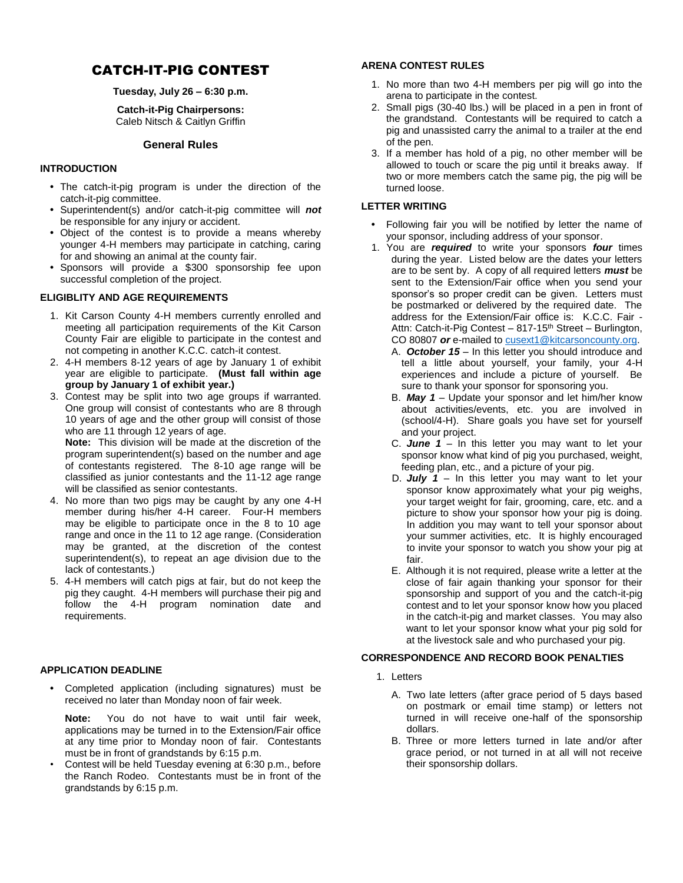# CATCH-IT-PIG CONTEST

**Tuesday, July 26 – 6:30 p.m.**

#### **Catch-it-Pig Chairpersons:** Caleb Nitsch & Caitlyn Griffin

## **General Rules**

## **INTRODUCTION**

- **•** The catch-it-pig program is under the direction of the catch-it-pig committee.
- **•** Superintendent(s) and/or catch-it-pig committee will *not* be responsible for any injury or accident.
- **•** Object of the contest is to provide a means whereby younger 4-H members may participate in catching, caring for and showing an animal at the county fair.
- **•** Sponsors will provide a \$300 sponsorship fee upon successful completion of the project.

## **ELIGIBLITY AND AGE REQUIREMENTS**

- 1. Kit Carson County 4-H members currently enrolled and meeting all participation requirements of the Kit Carson County Fair are eligible to participate in the contest and not competing in another K.C.C. catch-it contest.
- 2. 4-H members 8-12 years of age by January 1 of exhibit year are eligible to participate. **(Must fall within age group by January 1 of exhibit year.)**
- 3. Contest may be split into two age groups if warranted. One group will consist of contestants who are 8 through 10 years of age and the other group will consist of those who are 11 through 12 years of age.

**Note:** This division will be made at the discretion of the program superintendent(s) based on the number and age of contestants registered. The 8-10 age range will be classified as junior contestants and the 11-12 age range will be classified as senior contestants.

- 4. No more than two pigs may be caught by any one 4-H member during his/her 4-H career. Four-H members may be eligible to participate once in the 8 to 10 age range and once in the 11 to 12 age range. (Consideration may be granted, at the discretion of the contest superintendent(s), to repeat an age division due to the lack of contestants.)
- 5. 4-H members will catch pigs at fair, but do not keep the pig they caught. 4-H members will purchase their pig and follow the 4-H program nomination date and requirements.

## **APPLICATION DEADLINE**

**•** Completed application (including signatures) must be received no later than Monday noon of fair week.

**Note:** You do not have to wait until fair week, applications may be turned in to the Extension/Fair office at any time prior to Monday noon of fair. Contestants must be in front of grandstands by 6:15 p.m.

• Contest will be held Tuesday evening at 6:30 p.m., before the Ranch Rodeo. Contestants must be in front of the grandstands by 6:15 p.m.

#### **ARENA CONTEST RULES**

- 1. No more than two 4-H members per pig will go into the arena to participate in the contest.
- 2. Small pigs (30-40 lbs.) will be placed in a pen in front of the grandstand. Contestants will be required to catch a pig and unassisted carry the animal to a trailer at the end of the pen.
- 3. If a member has hold of a pig, no other member will be allowed to touch or scare the pig until it breaks away. If two or more members catch the same pig, the pig will be turned loose.

### **LETTER WRITING**

- **•** Following fair you will be notified by letter the name of your sponsor, including address of your sponsor.
- 1. You are *required* to write your sponsors *four* times during the year. Listed below are the dates your letters are to be sent by. A copy of all required letters *must* be sent to the Extension/Fair office when you send your sponsor's so proper credit can be given. Letters must be postmarked or delivered by the required date. The address for the Extension/Fair office is: K.C.C. Fair - Attn: Catch-it-Pig Contest - 817-15<sup>th</sup> Street - Burlington, CO 80807 or e-mailed to [cusext1@kitcarsoncounty.org.](mailto:cusext1@kitcarsoncounty.org)
	- A. *October 15 –* In this letter you should introduce and tell a little about yourself, your family, your 4-H experiences and include a picture of yourself. Be sure to thank your sponsor for sponsoring you.
	- B. *May 1* Update your sponsor and let him/her know about activities/events, etc. you are involved in (school/4-H). Share goals you have set for yourself and your project.
	- C. *June 1* In this letter you may want to let your sponsor know what kind of pig you purchased, weight, feeding plan, etc., and a picture of your pig.
	- D. *July 1* In this letter you may want to let your sponsor know approximately what your pig weighs, your target weight for fair, grooming, care, etc. and a picture to show your sponsor how your pig is doing. In addition you may want to tell your sponsor about your summer activities, etc. It is highly encouraged to invite your sponsor to watch you show your pig at fair.
	- E. Although it is not required, please write a letter at the close of fair again thanking your sponsor for their sponsorship and support of you and the catch-it-pig contest and to let your sponsor know how you placed in the catch-it-pig and market classes. You may also want to let your sponsor know what your pig sold for at the livestock sale and who purchased your pig.

#### **CORRESPONDENCE AND RECORD BOOK PENALTIES**

- 1. Letters
	- A. Two late letters (after grace period of 5 days based on postmark or email time stamp) or letters not turned in will receive one-half of the sponsorship dollars.
	- B. Three or more letters turned in late and/or after grace period, or not turned in at all will not receive their sponsorship dollars.